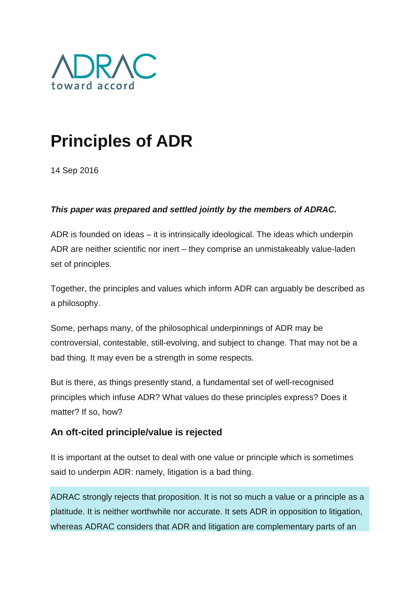

# **Principles of ADR**

14 Sep 2016

#### *This paper was prepared and settled jointly by the members of ADRAC.*

ADR is founded on ideas – it is intrinsically ideological. The ideas which underpin ADR are neither scientific nor inert – they comprise an unmistakeably value-laden set of principles.

Together, the principles and values which inform ADR can arguably be described as a philosophy.

Some, perhaps many, of the philosophical underpinnings of ADR may be controversial, contestable, still-evolving, and subject to change. That may not be a bad thing. It may even be a strength in some respects.

But is there, as things presently stand, a fundamental set of well-recognised principles which infuse ADR? What values do these principles express? Does it matter? If so, how?

## **An oft-cited principle/value is rejected**

It is important at the outset to deal with one value or principle which is sometimes said to underpin ADR: namely, litigation is a bad thing.

ADRAC strongly rejects that proposition. It is not so much a value or a principle as a platitude. It is neither worthwhile nor accurate. It sets ADR in opposition to litigation, whereas ADRAC considers that ADR and litigation are complementary parts of an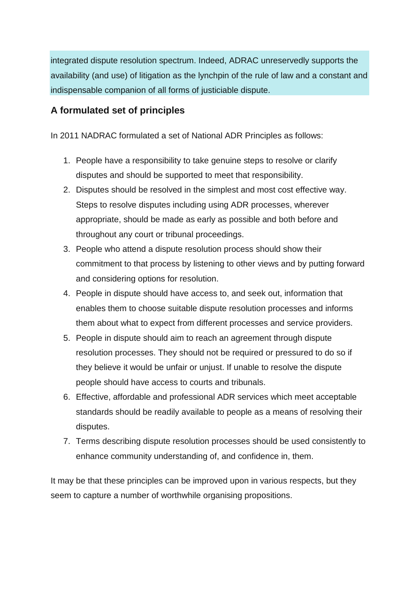integrated dispute resolution spectrum. Indeed, ADRAC unreservedly supports the availability (and use) of litigation as the lynchpin of the rule of law and a constant and indispensable companion of all forms of justiciable dispute.

### **A formulated set of principles**

In 2011 NADRAC formulated a set of National ADR Principles as follows:

- 1. People have a responsibility to take genuine steps to resolve or clarify disputes and should be supported to meet that responsibility.
- 2. Disputes should be resolved in the simplest and most cost effective way. Steps to resolve disputes including using ADR processes, wherever appropriate, should be made as early as possible and both before and throughout any court or tribunal proceedings.
- 3. People who attend a dispute resolution process should show their commitment to that process by listening to other views and by putting forward and considering options for resolution.
- 4. People in dispute should have access to, and seek out, information that enables them to choose suitable dispute resolution processes and informs them about what to expect from different processes and service providers.
- 5. People in dispute should aim to reach an agreement through dispute resolution processes. They should not be required or pressured to do so if they believe it would be unfair or unjust. If unable to resolve the dispute people should have access to courts and tribunals.
- 6. Effective, affordable and professional ADR services which meet acceptable standards should be readily available to people as a means of resolving their disputes.
- 7. Terms describing dispute resolution processes should be used consistently to enhance community understanding of, and confidence in, them.

It may be that these principles can be improved upon in various respects, but they seem to capture a number of worthwhile organising propositions.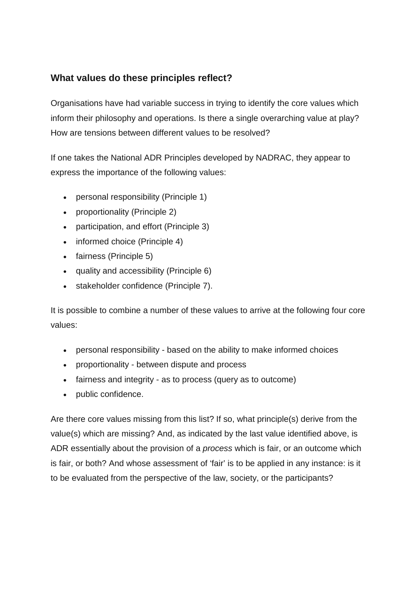# **What values do these principles reflect?**

Organisations have had variable success in trying to identify the core values which inform their philosophy and operations. Is there a single overarching value at play? How are tensions between different values to be resolved?

If one takes the National ADR Principles developed by NADRAC, they appear to express the importance of the following values:

- personal responsibility (Principle 1)
- proportionality (Principle 2)
- participation, and effort (Principle 3)
- informed choice (Principle 4)
- fairness (Principle 5)
- quality and accessibility (Principle 6)
- stakeholder confidence (Principle 7).

It is possible to combine a number of these values to arrive at the following four core values:

- personal responsibility based on the ability to make informed choices
- proportionality between dispute and process
- fairness and integrity as to process (query as to outcome)
- public confidence.

Are there core values missing from this list? If so, what principle(s) derive from the value(s) which are missing? And, as indicated by the last value identified above, is ADR essentially about the provision of a *process* which is fair, or an outcome which is fair, or both? And whose assessment of 'fair' is to be applied in any instance: is it to be evaluated from the perspective of the law, society, or the participants?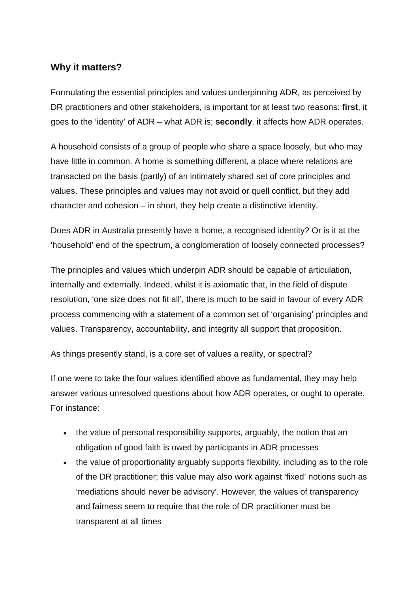#### **Why it matters?**

Formulating the essential principles and values underpinning ADR, as perceived by DR practitioners and other stakeholders, is important for at least two reasons: **first**, it goes to the 'identity' of ADR – what ADR is; **secondly**, it affects how ADR operates.

A household consists of a group of people who share a space loosely, but who may have little in common. A home is something different, a place where relations are transacted on the basis (partly) of an intimately shared set of core principles and values. These principles and values may not avoid or quell conflict, but they add character and cohesion – in short, they help create a distinctive identity.

Does ADR in Australia presently have a home, a recognised identity? Or is it at the 'household' end of the spectrum, a conglomeration of loosely connected processes?

The principles and values which underpin ADR should be capable of articulation, internally and externally. Indeed, whilst it is axiomatic that, in the field of dispute resolution, 'one size does not fit all', there is much to be said in favour of every ADR process commencing with a statement of a common set of 'organising' principles and values. Transparency, accountability, and integrity all support that proposition.

As things presently stand, is a core set of values a reality, or spectral?

If one were to take the four values identified above as fundamental, they may help answer various unresolved questions about how ADR operates, or ought to operate. For instance:

- the value of personal responsibility supports, arguably, the notion that an obligation of good faith is owed by participants in ADR processes
- the value of proportionality arguably supports flexibility, including as to the role of the DR practitioner; this value may also work against 'fixed' notions such as 'mediations should never be advisory'. However, the values of transparency and fairness seem to require that the role of DR practitioner must be transparent at all times